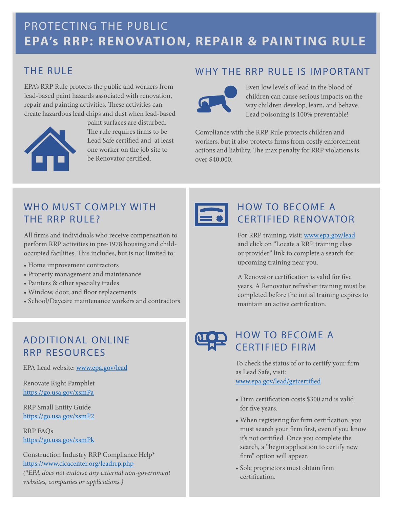# PROTECTING THE PUBLIC **EPA's RRP: RENOVATION, REPAIR & PAINTING RULE**

## THE RULE

EPA's RRP Rule protects the public and workers from lead-based paint hazards associated with renovation, repair and painting activities. These activities can create hazardous lead chips and dust when lead-based



paint surfaces are disturbed. The rule requires firms to be Lead Safe certified and at least one worker on the job site to be Renovator certified.

### WHY THE RRP RULE IS IMPORTANT



Even low levels of lead in the blood of children can cause serious impacts on the way children develop, learn, and behave. Lead poisoning is 100% preventable!

Compliance with the RRP Rule protects children and workers, but it also protects firms from costly enforcement actions and liability. The max penalty for RRP violations is over \$40,000.

### WHO MUST COMPLY WITH THE RRP RULE?

All firms and individuals who receive compensation to perform RRP activities in pre-1978 housing and childoccupied facilities. This includes, but is not limited to:

- Home improvement contractors
- Property management and maintenance
- Painters & other specialty trades
- Window, door, and floor replacements
- School/Daycare maintenance workers and contractors

## ADDITIONAL ONLINE RRP RESOURCES

EPA Lead website: [www.epa.gov/lead](http://www.epa.gov/lead)

Renovate Right Pamphlet <https://go.usa.gov/xsmPa>

RRP Small Entity Guide <https://go.usa.gov/xsmP2>

RRP FAQs <https://go.usa.gov/xsmPk>

Construction Industry RRP Compliance Help\* <https://www.cicacenter.org/leadrrp.php> *(\*EPA does not endorse any external non-government websites, companies or applications.)*



#### HOW TO BECOME A CERTIFIED RENOVATOR

For RRP training, visit: [www.epa.gov/lead](http://www.epa.gov/lead) and click on "Locate a RRP training class or provider" link to complete a search for upcoming training near you.

A Renovator certification is valid for five years. A Renovator refresher training must be completed before the initial training expires to maintain an active certification.



## HOW TO BECOME A CERTIFIED FIRM

To check the status of or to certify your firm as Lead Safe, visit: [www.epa.gov/lead/getcertified](http://www.epa.gov/lead/getcertified)

- Firm certification costs \$300 and is valid for five years.
- When registering for firm certification, you must search your firm first, even if you know it's not certified. Once you complete the search, a "begin application to certify new firm" option will appear.
- Sole proprietors must obtain firm certification.